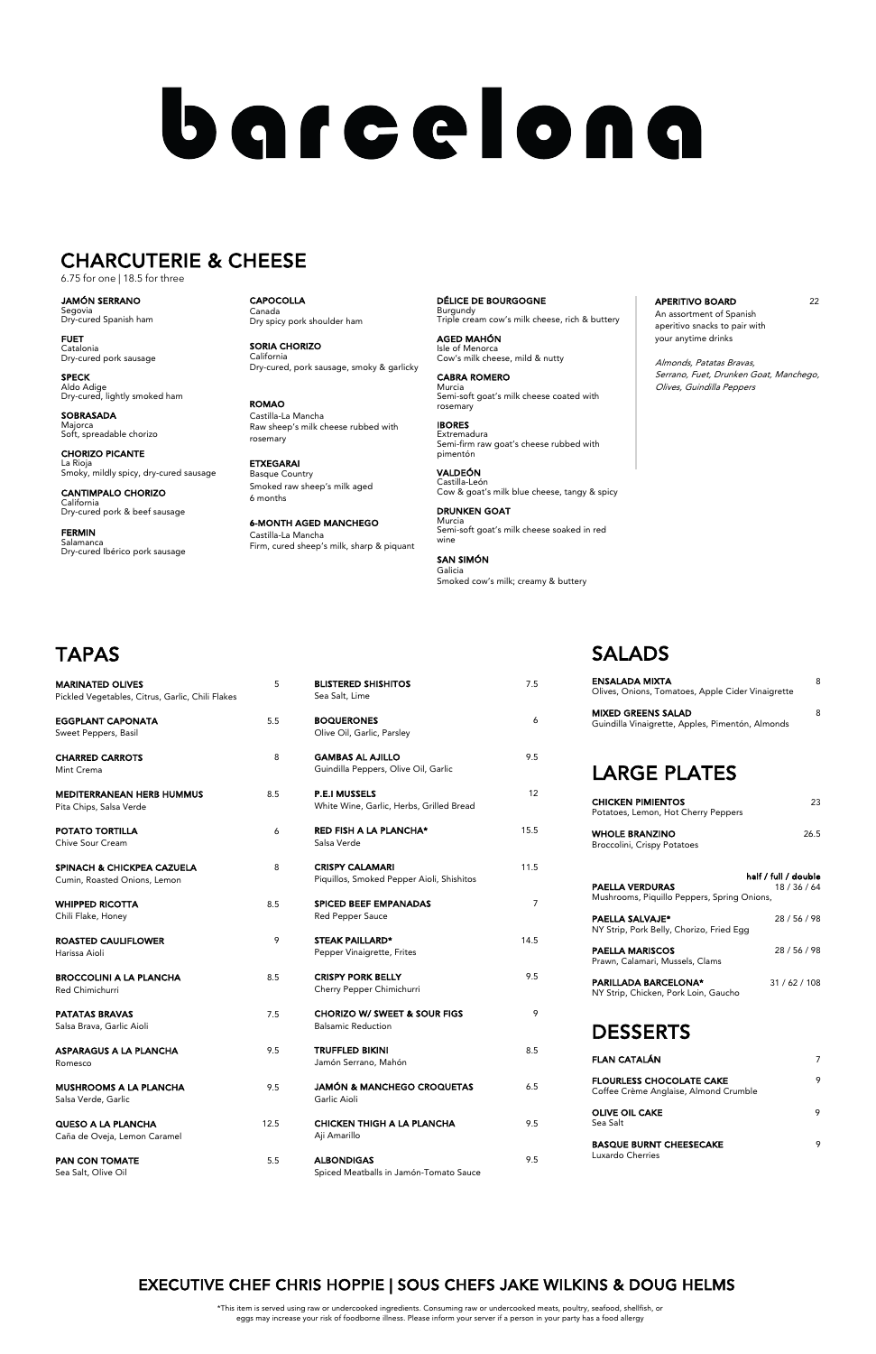| 5   | <b>BLISTERED SHISHITOS</b><br>Sea Salt, Lime                        | 7.5  |
|-----|---------------------------------------------------------------------|------|
| 5.5 | <b>BOQUERONES</b><br>Olive Oil, Garlic, Parsley                     | 6    |
| 8   | <b>GAMBAS AL AJILLO</b><br>Guindilla Peppers, Olive Oil, Garlic     | 9.5  |
| 8.5 | <b>P.E.I MUSSELS</b><br>White Wine, Garlic, Herbs, Grilled Bread    | 12   |
| 6   | <b>RED FISH A LA PLANCHA*</b><br>Salsa Verde                        | 15.5 |
| 8   | <b>CRISPY CALAMARI</b><br>Piquillos, Smoked Pepper Aioli, Shishitos | 11.5 |
| 8.5 | <b>SPICED BEEF EMPANADAS</b><br>Red Pepper Sauce                    | 7    |
| 9   | <b>STEAK PAILLARD*</b><br>Pepper Vinaigrette, Frites                | 14.5 |
| 8.5 | <b>CRISPY PORK BELLY</b><br>Cherry Pepper Chimichurri               | 9.5  |

| <b>CHORIZO W/ SWEET &amp; SOUR FIGS</b> |  |
|-----------------------------------------|--|
| <b>Balsamic Reduction</b>               |  |

- TRUFFLED BIKINI 8.5 Mahón
- **JAMA BROAD BROAD BROAD BROAD BROAD BROAD BROAD BROAD BROAD BROAD BROAD BROAD BROAD BROAD BROAD BROAD BROAD BRO**
- IH A LA PLANCHA 9.5
- ALBONDIGAS 9.5 ls in Jamón-Tomato Sauce

### SALADS

APERITIVO BOARD 22 An assortment of Spanish aperitivo snacks to pair with your anytime drinks

| ENSALADA MIXTA<br>Olives, Onions, Tomatoes, Apple Cider Vinaigrette           | 8                                |
|-------------------------------------------------------------------------------|----------------------------------|
| <b>MIXED GREENS SALAD</b><br>Guindilla Vinaigrette, Apples, Pimentón, Almonds | 8                                |
| <b>LARGE PLATES</b>                                                           |                                  |
| <b>CHICKEN PIMIENTOS</b><br>Potatoes, Lemon, Hot Cherry Peppers               | 23                               |
| <b>WHOLE BRANZINO</b><br>Broccolini, Crispy Potatoes                          | 26.5                             |
|                                                                               |                                  |
| <b>PAELLA VERDURAS</b><br>Mushrooms, Piquillo Peppers, Spring Onions,         | half / full / double<br>18/36/64 |
| <b>PAELLA SALVAJE*</b><br>NY Strip, Pork Belly, Chorizo, Fried Egg            | 28/56/98                         |
| <b>PAELLA MARISCOS</b><br>Prawn, Calamari, Mussels, Clams                     | 28 / 56 / 98                     |
| <b>PARILLADA BARCELONA*</b><br>NY Strip, Chicken, Pork Loin, Gaucho           | 31/62/108                        |

### DESSERTS

| <b>MARINATED OLIVES</b><br>Pickled Vegetables, Citrus, Garlic, Chili Flakes | 5    | <b>BLISTERED SHI:</b><br>Sea Salt, Lime      |
|-----------------------------------------------------------------------------|------|----------------------------------------------|
| <b>EGGPLANT CAPONATA</b><br>Sweet Peppers, Basil                            | 5.5  | <b>BOQUERONES</b><br>Olive Oil, Garlic,      |
| <b>CHARRED CARROTS</b><br>Mint Crema                                        | 8    | <b>GAMBAS AL AJ</b><br>Guindilla Pepper      |
| <b>MEDITERRANEAN HERB HUMMUS</b><br>Pita Chips, Salsa Verde                 | 8.5  | <b>P.E.I MUSSELS</b><br>White Wine, Gar      |
| <b>POTATO TORTILLA</b><br>Chive Sour Cream                                  | 6    | <b>RED FISH A LA</b><br>Salsa Verde          |
| <b>SPINACH &amp; CHICKPEA CAZUELA</b><br>Cumin, Roasted Onions, Lemon       | 8    | <b>CRISPY CALAM</b><br>Piquillos, Smoke      |
| WHIPPED RICOTTA<br>Chili Flake, Honey                                       | 8.5  | <b>SPICED BEEF E</b><br>Red Pepper Sau       |
| <b>ROASTED CAULIFLOWER</b><br>Harissa Aioli                                 | 9    | <b>STEAK PAILLAR</b><br>Pepper Vinaigret     |
| <b>BROCCOLINI A LA PLANCHA</b><br><b>Red Chimichurri</b>                    | 8.5  | <b>CRISPY PORK B</b><br>Cherry Pepper C      |
| <b>PATATAS BRAVAS</b><br>Salsa Brava, Garlic Aioli                          | 7.5  | <b>CHORIZO W/S</b><br><b>Balsamic Reduct</b> |
| ASPARAGUS A LA PLANCHA<br>Romesco                                           | 9.5  | <b>TRUFFLED BIKI</b><br>Jamón Serrano,       |
| <b>MUSHROOMS A LA PLANCHA</b><br>Salsa Verde, Garlic                        | 9.5  | <b>JAMÓN &amp; MAN</b><br>Garlic Aioli       |
| <b>QUESO A LA PLANCHA</b><br>Caña de Oveja, Lemon Caramel                   | 12.5 | <b>CHICKEN THIG</b><br>Aji Amarillo          |
| <b>PAN CON TOMATE</b><br>Sea Salt, Olive Oil                                | 5.5  | <b>ALBONDIGAS</b><br>Spiced Meatball         |

| <b>FLAN CATALÁN</b>                                                      |  |
|--------------------------------------------------------------------------|--|
| <b>FLOURLESS CHOCOLATE CAKE</b><br>Coffee Crème Anglaise, Almond Crumble |  |
| <b>OLIVE OIL CAKE</b><br>Sea Salt                                        |  |
| <b>BASQUE BURNT CHEESECAKE</b><br>Luxardo Cherries                       |  |

CAPOCOLLA Canada Dry spicy pork shoulder ham

SORIA CHORIZO California Dry-cured, pork sausage, smoky & garlicky

ROMAO Castilla-La Mancha Raw sheep's milk cheese rubbed with rosemary

ETXEGARAI Basque Country Smoked raw sheep's milk aged 6 months

6-MONTH AGED MANCHEGO Castilla-La Mancha Firm, cured sheep's milk, sharp & piquant DÉLICE DE BOURGOGNE Burgundy Triple cream cow's milk cheese, rich & buttery

AGED MAHÓN Isle of Menorca Cow's milk cheese, mild & nutty

CABRA ROMERO Murcia Semi-soft goat's milk cheese coated with rosemary

IBORES Extremadura Semi-firm raw goat's cheese rubbed with pimentón

VALDEÓN Castilla-León Cow & goat's milk blue cheese, tangy & spicy

DRUNKEN GOAT Murcia Semi-soft goat's milk cheese soaked in red wine

SAN SIMÓN Galicia Smoked cow's milk; creamy & buttery Almonds, Patatas Bravas, Serrano, Fuet, Drunken Goat, Manchego, Olives, Guindilla Peppers

# **TAPAS**

JAMÓN SERRANO Segovia Dry-cured Spanish ham

FUET Catalonia Dry-cured pork sausage

SPECK Aldo Adige Dry-cured, lightly smoked ham

SOBRASADA Majorca Soft, spreadable chorizo

CHORIZO PICANTE La Rioja Smoky, mildly spicy, dry-cured sausage

CANTIMPALO CHORIZO California Dry-cured pork & beef sausage

FERMIN Salamanca Dry-cured Ibérico pork sausage

# barcelona

### CHARCUTERIE & CHEESE

6.75 for one | 18.5 for three

\*This item is served using raw or undercooked ingredients. Consuming raw or undercooked meats, poultry, seafood, shellfish, or eggs may increase your risk of foodborne illness. Please inform your server if a person in your party has a food allergy

### EXECUTIVE CHEF CHRIS HOPPIE | SOUS CHEFS JAKE WILKINS & DOUG HELMS